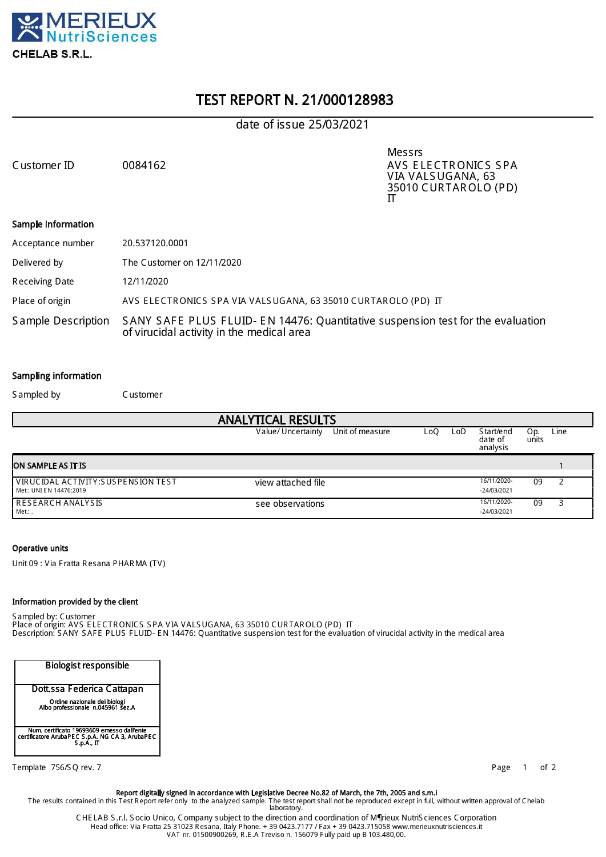

# TEST REPORT N. 21/000128983

# date of issue 25/03/2021

Messrs Customer ID 0084162 AVS ELECTRONICS SPA V IA VALS UGANA, 63 35010 CUR TAR OLO (PD) IT

#### Sample information

| Acceptance number  | 20.537120.0001                                                                                                               |
|--------------------|------------------------------------------------------------------------------------------------------------------------------|
| Delivered by       | The Customer on 12/11/2020                                                                                                   |
| Receiving Date     | 12/11/2020                                                                                                                   |
| Place of origin    | AVS ELECTRONICS SPA VIA VALSUGANA, 63 35010 CURTAROLO (PD) IT                                                                |
| Sample Description | SANY SAFE PLUS FLUID- EN 14476: Quantitative suspension test for the evaluation<br>of virucidal activity in the medical area |

#### Sampling information

S ampled by Customer

| <b>ANALYTICAL RESULTS</b>                                        |                                       |     |      |                                   |              |      |  |  |  |
|------------------------------------------------------------------|---------------------------------------|-----|------|-----------------------------------|--------------|------|--|--|--|
|                                                                  | Unit of measure<br>Value/ Uncertainty | LoO | LoD. | S tart/end<br>date of<br>analysis | Op.<br>units | Line |  |  |  |
| <b>ON SAMPLE AS IT IS</b>                                        |                                       |     |      |                                   |              |      |  |  |  |
| l VIRUCIDAL ACTIVITY:SUS PENSION TEST<br>Met.: UNI EN 14476:2019 | view attached file                    |     |      | 16/11/2020-<br>$-24/03/2021$      | 09           |      |  |  |  |
| I RESEARCH ANALYSIS<br>Met.: .                                   | see observations                      |     |      | 16/11/2020-<br>$-24/03/2021$      | 09           |      |  |  |  |

#### Operative units

Unit 09 : Via F ratta R esana PHARMA (TV )

#### Information provided by the client

S ampled by: C ustomer

Place of origin: AVS E LE C TR ONIC S S PA V IA VALS UGANA, 63 35010 CUR TAR OLO (PD) IT Description: S ANY S AF E PLUS FLUID E N 14476: Quantitative suspension test for the evaluation of virucidal activity in the medical area

| <b>Biologist responsible</b>                                                                                |
|-------------------------------------------------------------------------------------------------------------|
| Dott.ssa Federica Cattapan                                                                                  |
| Ordine nazionale dei biologi<br>Albo professionale n.045961 sez.A                                           |
| Num. certificato 19693609 emesso dall'ente<br>certificatore ArubaPEC S.p.A. NG CA 3, ArubaPEC<br>S.p.A., IT |

Template 756/SQ rev. 7 and 100 and 100 and 100 and 100 and 100 and 100 and 100 and 100 and 100 and 100 and 100 and 100 and 100 and 100 and 100 and 100 and 100 and 100 and 100 and 100 and 100 and 100 and 100 and 100 and 100

Report digitally signed in accordance with Legislative Decree No.82 of March, the 7th, 2005 and s.m.i The results contained in this Test R eport refer only to the analyzed sample. The test report shall not be reproduced except in full, without written approval of C helab laboratory.

C HE LAB S .r.l. S ocio Unico, C ompany subject to the direction and coordination of Mérieux NutriS ciences Corporation Head office: Via F ratta 25 31023 R esana, Italy Phone. + 39 0423.7177 / F ax + 39 0423.715058 www.merieuxnutrisciences.it VAT nr. 01500900269, R.E .A Treviso n. 156079 F ully paid up € 103.480,00.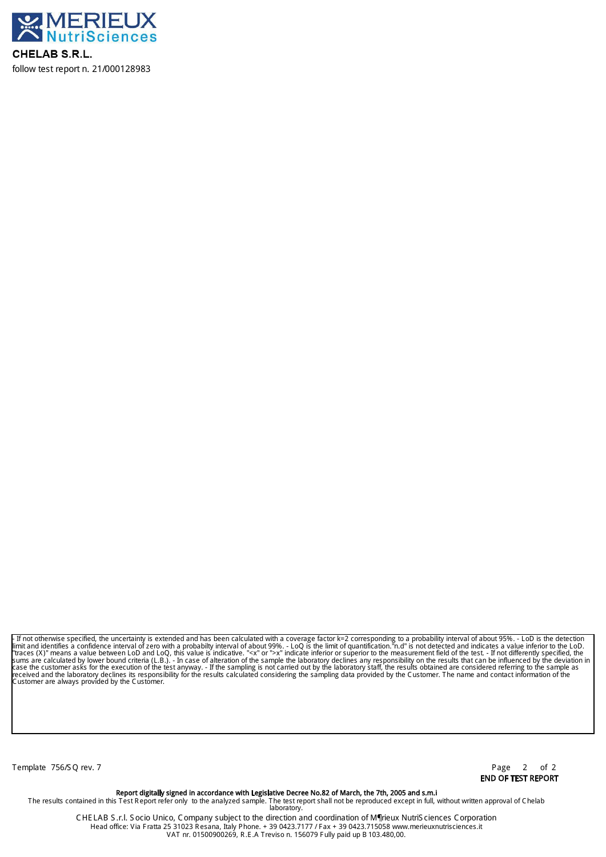

CHELAB S.R.L. follow test report n. 21/000128983

- If not otherwise specified, the uncertainty is extended and has been calculated with a coverage factor k=2 corresponding to a probability interval of about 95%. - LoD is the detection<br>Ilmit and identifies a confidence in Customer are always provided by the Customer.

Template 756/SQ rev. 7 **Page 2** of 2

END OF TEST REPORT

Report digitally signed in accordance with Legislative Decree No.82 of March, the 7th, 2005 and s.m.i The results contained in this Test R eport refer only to the analyzed sample. The test report shall not be reproduced except in full, without written approval of C helab laboratory.

C HE LAB S .r.l. S ocio Unico, C ompany subject to the direction and coordination of Mérieux NutriS ciences Corporation Head office: Via F ratta 25 31023 R esana, Italy Phone. + 39 0423.7177 / F ax + 39 0423.715058 www.merieuxnutrisciences.it VAT nr. 01500900269, R.E .A Treviso n. 156079 F ully paid up € 103.480,00.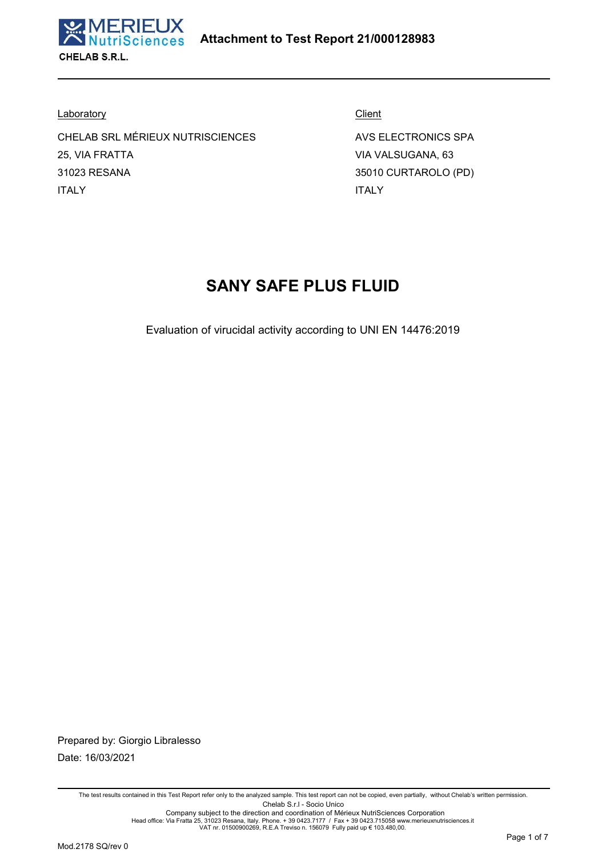

**Laboratory** 

CHELAB SRL MÉRIEUX NUTRISCIENCES 25, VIA FRATTA 31023 RESANA ITALY

**Client** AVS ELECTRONICS SPA

VIA VALSUGANA, 63 35010 CURTAROLO (PD) ITALY

# **SANY SAFE PLUS FLUID**

Evaluation of virucidal activity according to UNI EN 14476:2019

Prepared by: Giorgio Libralesso Date: 16/03/2021

The test results contained in this Test Report refer only to the analyzed sample. This test report can not be copied, even partially, without Chelab's written permission. Chelab S.r.l - Socio Unico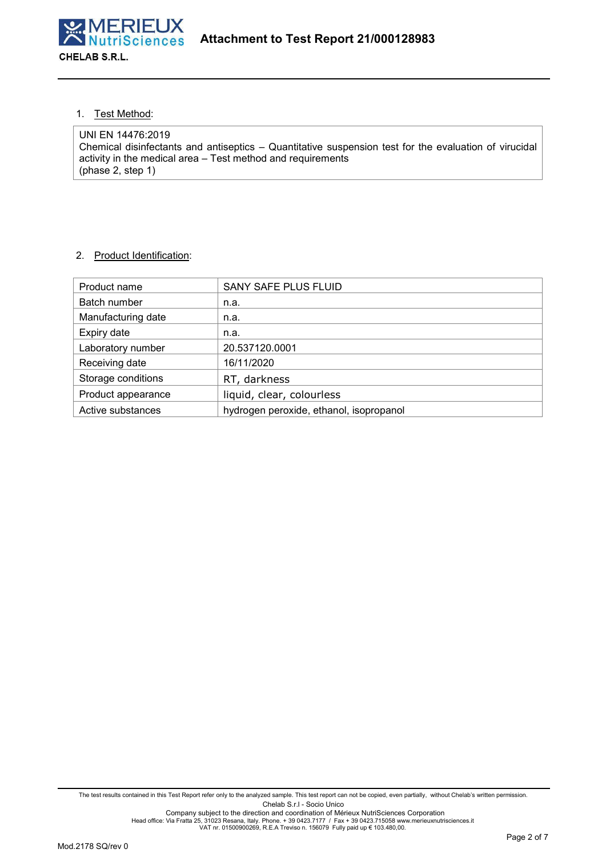

1. Test Method:

UNI EN 14476:2019 Chemical disinfectants and antiseptics – Quantitative suspension test for the evaluation of virucidal activity in the medical area – Test method and requirements (phase 2, step 1)

# 2. Product Identification:

| Product name       | SANY SAFE PLUS FLUID                    |
|--------------------|-----------------------------------------|
| Batch number       | n.a.                                    |
| Manufacturing date | n.a.                                    |
| Expiry date        | n.a.                                    |
| Laboratory number  | 20.537120.0001                          |
| Receiving date     | 16/11/2020                              |
| Storage conditions | RT, darkness                            |
| Product appearance | liquid, clear, colourless               |
| Active substances  | hydrogen peroxide, ethanol, isopropanol |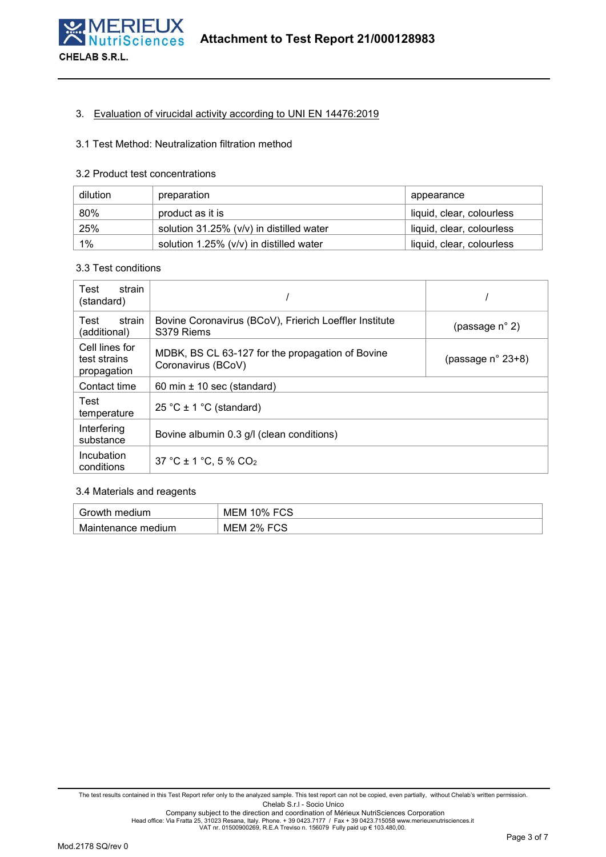

## 3. Evaluation of virucidal activity according to UNI EN 14476:2019

#### 3.1 Test Method: Neutralization filtration method

#### 3.2 Product test concentrations

| dilution | preparation                              | appearance                |
|----------|------------------------------------------|---------------------------|
| 80%      | product as it is                         | liquid, clear, colourless |
| 25%      | solution 31.25% (v/v) in distilled water | liquid, clear, colourless |
| $1\%$    | solution 1.25% (v/v) in distilled water  | liquid, clear, colourless |

#### 3.3 Test conditions

| Test<br>strain<br>(standard)                  |                                                                        |                         |  |  |  |
|-----------------------------------------------|------------------------------------------------------------------------|-------------------------|--|--|--|
| Test<br>strain<br>(additional)                | Bovine Coronavirus (BCoV), Frierich Loeffler Institute<br>S379 Riems   | (passage $n^{\circ}$ 2) |  |  |  |
| Cell lines for<br>test strains<br>propagation | MDBK, BS CL 63-127 for the propagation of Bovine<br>Coronavirus (BCoV) | (passage n° 23+8)       |  |  |  |
| Contact time                                  | 60 min $\pm$ 10 sec (standard)                                         |                         |  |  |  |
| Test<br>temperature                           | 25 °C $\pm$ 1 °C (standard)                                            |                         |  |  |  |
| Interfering<br>substance                      | Bovine albumin 0.3 g/l (clean conditions)                              |                         |  |  |  |
| Incubation<br>conditions                      | 37 °C ± 1 °C, 5 % CO <sub>2</sub>                                      |                         |  |  |  |

# 3.4 Materials and reagents

| Growth<br>medium      | roo<br>ົາ% .<br>MEM<br>−ບພ |
|-----------------------|----------------------------|
| medium<br>Maintenance | FCS<br>$2\%$<br>MEM<br>◡◡  |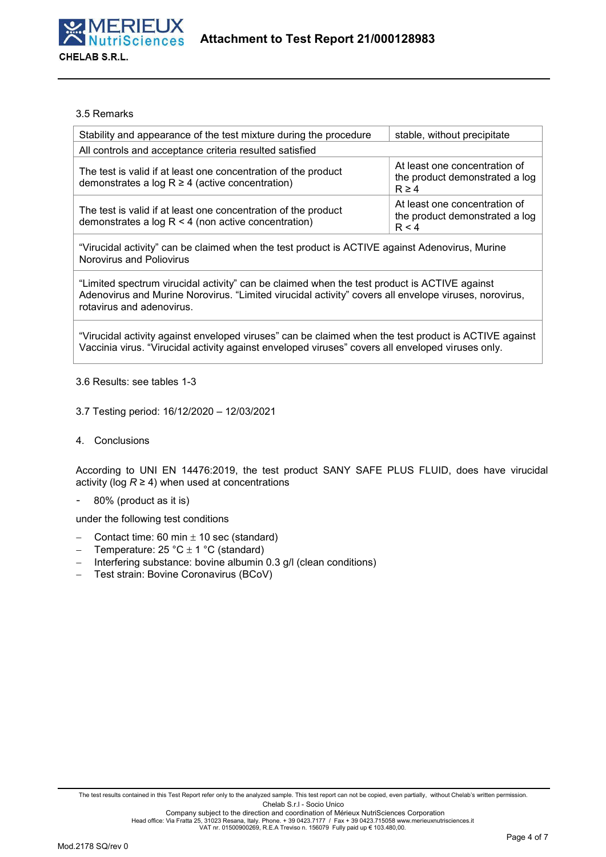

#### 3.5 Remarks

| Stability and appearance of the test mixture during the procedure                                                          | stable, without precipitate                                                   |
|----------------------------------------------------------------------------------------------------------------------------|-------------------------------------------------------------------------------|
| All controls and acceptance criteria resulted satisfied                                                                    |                                                                               |
| The test is valid if at least one concentration of the product<br>demonstrates a log $R \ge 4$ (active concentration)      | At least one concentration of<br>the product demonstrated a log<br>$R \geq 4$ |
| The test is valid if at least one concentration of the product<br>demonstrates a log $R < 4$ (non active concentration)    | At least one concentration of<br>the product demonstrated a log<br>R < 4      |
| "Virucidal activity" can be claimed when the test product is ACTIVE against Adenovirus, Murine<br>Norovirus and Poliovirus |                                                                               |

"Limited spectrum virucidal activity" can be claimed when the test product is ACTIVE against Adenovirus and Murine Norovirus. "Limited virucidal activity" covers all envelope viruses, norovirus, rotavirus and adenovirus.

"Virucidal activity against enveloped viruses" can be claimed when the test product is ACTIVE against Vaccinia virus. "Virucidal activity against enveloped viruses" covers all enveloped viruses only.

#### 3.6 Results: see tables 1-3

#### 3.7 Testing period: 16/12/2020 – 12/03/2021

4. Conclusions

According to UNI EN 14476:2019, the test product SANY SAFE PLUS FLUID, does have virucidal activity (log  $R \ge 4$ ) when used at concentrations

- 80% (product as it is)

under the following test conditions

- Contact time: 60 min  $\pm$  10 sec (standard)
- Temperature:  $25 \text{ °C} \pm 1 \text{ °C}$  (standard)
- $-$  Interfering substance: bovine albumin 0.3 g/l (clean conditions)
- Test strain: Bovine Coronavirus (BCoV)

Head office: Via Fratta 25, 31023 Resana, Italy. Phone. + 39 0423.7177 / Fax + 39 0423.715058 www.merieuxnutrisciences.it<br>VAT nr. 01500900269, R.E.A Treviso n. 156079 Fully paid up € 103.480,00.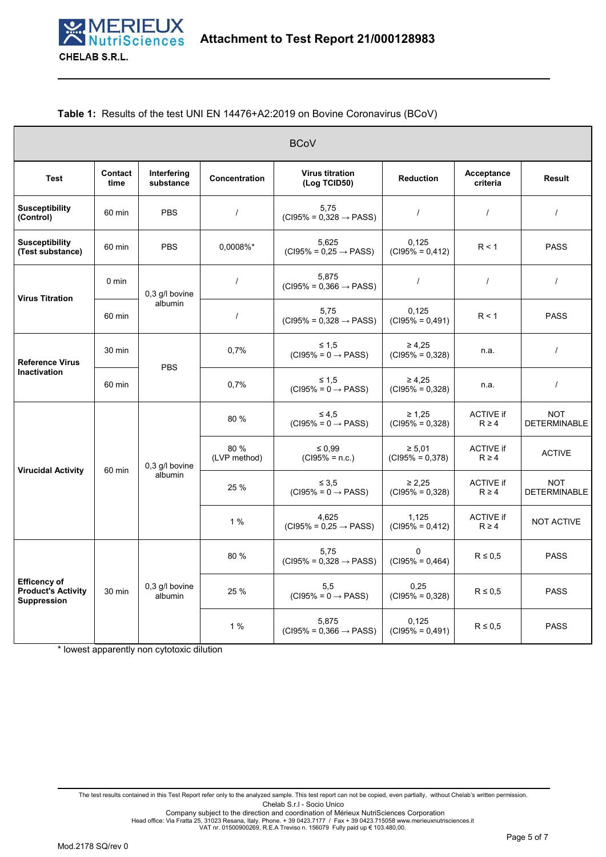#### **Table 1:** Results of the test UNI EN 14476+A2:2019 on Bovine Coronavirus (BCoV)

|                                                                        |                 |                           |                      | <b>BCoV</b>                                   |                                  |                                |                                   |
|------------------------------------------------------------------------|-----------------|---------------------------|----------------------|-----------------------------------------------|----------------------------------|--------------------------------|-----------------------------------|
| <b>Test</b>                                                            | Contact<br>time | Interfering<br>substance  | <b>Concentration</b> | <b>Virus titration</b><br>(Log TCID50)        | <b>Reduction</b>                 | Acceptance<br>criteria         | <b>Result</b>                     |
| <b>Susceptibility</b><br>(Control)                                     | 60 min          | <b>PBS</b>                | $\prime$             | 5,75<br>$(C195\% = 0,328 \rightarrow PASS)$   | $\prime$                         | $\prime$                       | $\prime$                          |
| <b>Susceptibility</b><br>(Test substance)                              | 60 min          | <b>PBS</b>                | 0.0008%*             | 5.625<br>$(C195\% = 0,25 \rightarrow PASS)$   | 0.125<br>$(C195% = 0,412)$       | R < 1                          |                                   |
| <b>Virus Titration</b>                                                 | $0 \text{ min}$ | 0,3 g/l bovine            | $\overline{1}$       | 5,875<br>$(C195\% = 0,366 \rightarrow PASS)$  | $\prime$                         | $\prime$                       | $\prime$                          |
|                                                                        | 60 min          | albumin                   | $\prime$             | 5.75<br>$(C195\% = 0.328 \rightarrow PASS)$   | 0.125<br>$(C195% = 0.491)$       | R < 1                          | <b>PASS</b>                       |
| <b>Reference Virus</b>                                                 | 30 min          | <b>PBS</b>                | 0.7%                 | $≤ 1.5$<br>$(C195\% = 0 \rightarrow PASS)$    | $\geq 4.25$<br>$(C195% = 0,328)$ | n.a.                           | $\prime$                          |
| Inactivation                                                           | 60 min          |                           | 0.7%                 | $\leq 1.5$<br>$(C195\% = 0 \rightarrow PASS)$ | $\geq 4,25$<br>$(C195% = 0.328)$ | n.a.                           | $\prime$                          |
|                                                                        |                 |                           | 80 %                 | $\leq 4.5$<br>$(C195\% = 0 \rightarrow PASS)$ | $\geq 1,25$<br>$(C195% = 0,328)$ | <b>ACTIVE if</b><br>$R \geq 4$ | <b>NOT</b><br><b>DETERMINABLE</b> |
| <b>Virucidal Activity</b>                                              | 60 min          | 0,3 g/l bovine            | 80 %<br>(LVP method) | $\leq 0.99$<br>$(C195% = n.c.)$               | $\ge 5.01$<br>$(C195% = 0.378)$  | <b>ACTIVE if</b><br>$R \geq 4$ | <b>ACTIVE</b>                     |
|                                                                        |                 | albumin                   | 25 %                 | $\leq 3.5$<br>$(C195\% = 0 \rightarrow PASS)$ | $\geq 2.25$<br>$(C195% = 0,328)$ | <b>ACTIVE if</b><br>$R \geq 4$ | <b>NOT</b><br><b>DETERMINABLE</b> |
|                                                                        |                 |                           | 1%                   | 4.625<br>$(C195\% = 0.25 \rightarrow PASS)$   | 1.125<br>$(C195% = 0,412)$       | <b>ACTIVE if</b><br>$R \geq 4$ | <b>NOT ACTIVE</b>                 |
| <b>Efficency of</b><br><b>Product's Activity</b><br><b>Suppression</b> |                 |                           | 80 %                 | 5,75<br>$(C195% = 0,328 \rightarrow PASS)$    | $\Omega$<br>$(C195% = 0,464)$    | $R \leq 0.5$                   | <b>PASS</b>                       |
|                                                                        | 30 min          | 0,3 g/l bovine<br>albumin | 25 %                 | 5,5<br>$(C195\% = 0 \rightarrow PASS)$        | 0,25<br>$(C195% = 0,328)$        | $R \leq 0.5$                   | <b>PASS</b>                       |
|                                                                        |                 |                           | 1 %                  | 5.875<br>$(C195\% = 0,366 \rightarrow PASS)$  | 0.125<br>$(C195% = 0,491)$       | $R \leq 0.5$                   | <b>PASS</b>                       |

\* lowest apparently non cytotoxic dilution

The test results contained in this Test Report refer only to the analyzed sample. This test report can not be copied, even partially, without Chelab's written permission. Chelab S.r.l - Socio Unico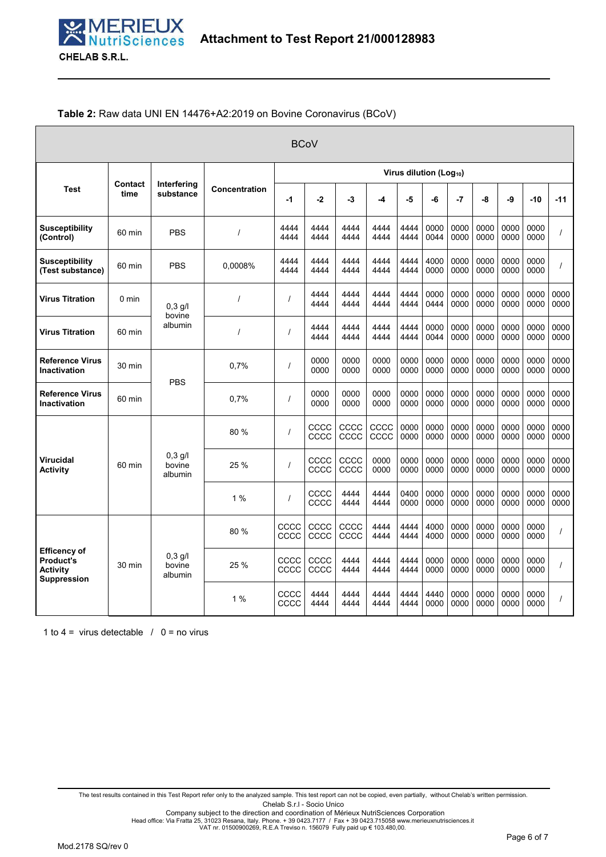## **Table 2:** Raw data UNI EN 14476+A2:2019 on Bovine Coronavirus (BCoV)

|                                                                                  | <b>BCoV</b>     |                                |                                     |                |              |              |              |              |              |              |              |              |              |              |
|----------------------------------------------------------------------------------|-----------------|--------------------------------|-------------------------------------|----------------|--------------|--------------|--------------|--------------|--------------|--------------|--------------|--------------|--------------|--------------|
|                                                                                  |                 |                                | Virus dilution (Log <sub>10</sub> ) |                |              |              |              |              |              |              |              |              |              |              |
| <b>Test</b>                                                                      | Contact<br>time | Interfering<br>substance       | Concentration                       | $-1$           | $-2$         | $-3$         | -4           | -5           | -6           | $-7$         | -8           | -9           | $-10$        | $-11$        |
| <b>Susceptibility</b><br>(Control)                                               | 60 min          | <b>PBS</b>                     | $\prime$                            | 4444<br>4444   | 4444<br>4444 | 4444<br>4444 | 4444<br>4444 | 4444<br>4444 | 0000<br>0044 | 0000<br>0000 | 0000<br>0000 | 0000<br>0000 | 0000<br>0000 |              |
| <b>Susceptibility</b><br>(Test substance)                                        | 60 min          | <b>PBS</b>                     | 0.0008%                             | 4444<br>4444   | 4444<br>4444 | 4444<br>4444 | 4444<br>4444 | 4444<br>4444 | 4000<br>0000 | 0000<br>0000 | 0000<br>0000 | 0000<br>0000 | 0000<br>0000 |              |
| <b>Virus Titration</b>                                                           | $0 \text{ min}$ | $0,3$ g/l<br>bovine            | $\prime$                            | $\prime$       | 4444<br>4444 | 4444<br>4444 | 4444<br>4444 | 4444<br>4444 | 0000<br>0444 | 0000<br>0000 | 0000<br>0000 | 0000<br>0000 | 0000<br>0000 | 0000<br>0000 |
| <b>Virus Titration</b>                                                           | 60 min          | albumin                        | $\prime$                            | $\overline{1}$ | 4444<br>4444 | 4444<br>4444 | 4444<br>4444 | 4444<br>4444 | 0000<br>0044 | 0000<br>0000 | 0000<br>0000 | 0000<br>0000 | 0000<br>0000 | 0000<br>0000 |
| <b>Reference Virus</b><br>Inactivation                                           | 30 min          |                                | 0,7%                                | $\prime$       | 0000<br>0000 | 0000<br>0000 | 0000<br>0000 | 0000<br>0000 | 0000<br>0000 | 0000<br>0000 | 0000<br>0000 | 0000<br>0000 | 0000<br>0000 | 0000<br>0000 |
| <b>Reference Virus</b><br><b>Inactivation</b>                                    | 60 min          | <b>PBS</b>                     | 0.7%                                | $\prime$       | 0000<br>0000 | 0000<br>0000 | 0000<br>0000 | 0000<br>0000 | 0000<br>0000 | 0000<br>0000 | 0000<br>0000 | 0000<br>0000 | 0000<br>0000 | 0000<br>0000 |
|                                                                                  |                 |                                | 80 %                                | $\overline{1}$ | CCCC<br>CCCC | CCCC<br>CCCC | CCCC<br>CCCC | 0000<br>0000 | 0000<br>0000 | 0000<br>0000 | 0000<br>0000 | 0000<br>0000 | 0000<br>0000 | 0000<br>0000 |
| <b>Virucidal</b><br><b>Activity</b>                                              | 60 min          | $0,3$ g/l<br>hovine<br>albumin | 25 %                                | $\prime$       | CCCC<br>CCCC | CCCC<br>CCCC | 0000<br>0000 | 0000<br>0000 | 0000<br>0000 | 0000<br>0000 | 0000<br>0000 | 0000<br>0000 | 0000<br>0000 | 0000<br>0000 |
|                                                                                  |                 |                                | 1 %                                 | $\prime$       | CCCC<br>CCCC | 4444<br>4444 | 4444<br>4444 | 0400<br>0000 | 0000<br>0000 | 0000<br>0000 | 0000<br>0000 | 0000<br>0000 | 0000<br>0000 | 0000<br>0000 |
| <b>Efficency of</b><br><b>Product's</b><br><b>Activity</b><br><b>Suppression</b> |                 |                                | 80 %                                | CCCC<br>CCCC   | CCCC<br>CCCC | CCCC<br>CCCC | 4444<br>4444 | 4444<br>4444 | 4000<br>4000 | 0000<br>0000 | 0000<br>0000 | 0000<br>0000 | 0000<br>0000 |              |
|                                                                                  | 30 min          | $0,3$ g/l<br>bovine<br>albumin | 25 %                                | CCCC<br>CCCC   | CCCC<br>CCCC | 4444<br>4444 | 4444<br>4444 | 4444<br>4444 | 0000<br>0000 | 0000<br>0000 | 0000<br>0000 | 0000<br>0000 | 0000<br>0000 |              |
|                                                                                  |                 |                                | 1%                                  | CCCC<br>CCCC   | 4444<br>4444 | 4444<br>4444 | 4444<br>4444 | 4444<br>4444 | 4440<br>0000 | 0000<br>0000 | 0000<br>0000 | 0000<br>0000 | 0000<br>0000 |              |

1 to 4 = virus detectable  $/ 0$  = no virus

The test results contained in this Test Report refer only to the analyzed sample. This test report can not be copied, even partially, without Chelab's written permission. Chelab S.r.l - Socio Unico